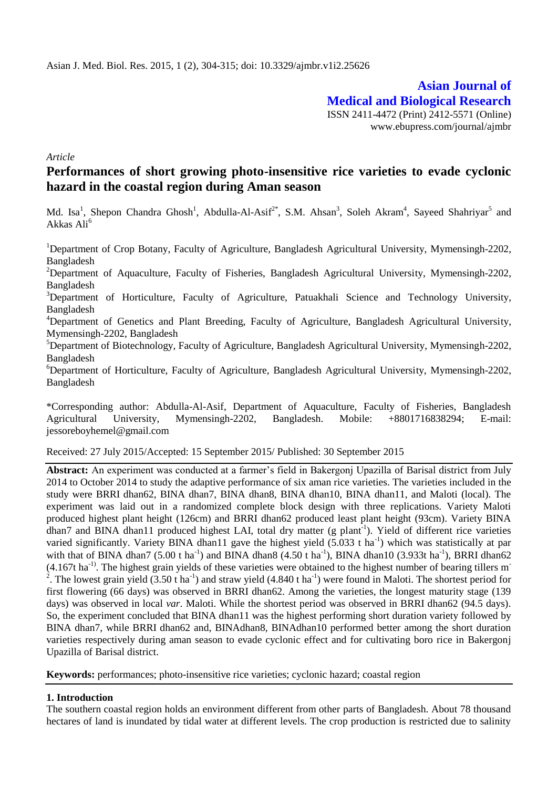**Asian Journal of Medical and Biological Research** ISSN 2411-4472 (Print) 2412-5571 (Online) www.ebupress.com/journal/ajmbr

*Article*

# **Performances of short growing photo-insensitive rice varieties to evade cyclonic hazard in the coastal region during Aman season**

Md. Isa<sup>1</sup>, Shepon Chandra Ghosh<sup>1</sup>, Abdulla-Al-Asif<sup>2\*</sup>, S.M. Ahsan<sup>3</sup>, Soleh Akram<sup>4</sup>, Sayeed Shahriyar<sup>5</sup> and Akkas Ali<sup>6</sup>

<sup>1</sup>Department of Crop Botany, Faculty of Agriculture, Bangladesh Agricultural University, Mymensingh-2202, Bangladesh

<sup>2</sup>Department of Aquaculture, Faculty of Fisheries, Bangladesh Agricultural University, Mymensingh-2202, Bangladesh

<sup>3</sup>Department of Horticulture, Faculty of Agriculture, Patuakhali Science and Technology University, Bangladesh

<sup>4</sup>Department of Genetics and Plant Breeding, Faculty of Agriculture, Bangladesh Agricultural University, Mymensingh-2202, Bangladesh

<sup>5</sup>Department of Biotechnology, Faculty of Agriculture, Bangladesh Agricultural University, Mymensingh-2202, Bangladesh

<sup>6</sup>Department of Horticulture, Faculty of Agriculture, Bangladesh Agricultural University, Mymensingh-2202, Bangladesh

\*Corresponding author: Abdulla-Al-Asif, Department of Aquaculture, Faculty of Fisheries, Bangladesh Agricultural University, Mymensingh-2202, Bangladesh. Mobile: +8801716838294; E-mail: jessoreboyhemel@gmail.com

#### Received: 27 July 2015/Accepted: 15 September 2015/ Published: 30 September 2015

**Abstract:** An experiment was conducted at a farmer's field in Bakergonj Upazilla of Barisal district from July 2014 to October 2014 to study the adaptive performance of six aman rice varieties. The varieties included in the study were BRRI dhan62, BINA dhan7, BINA dhan8, BINA dhan10, BINA dhan11, and Maloti (local). The experiment was laid out in a randomized complete block design with three replications. Variety Maloti produced highest plant height (126cm) and BRRI dhan62 produced least plant height (93cm). Variety BINA dhan7 and BINA dhan11 produced highest LAI, total dry matter (g plant<sup>-1</sup>). Yield of different rice varieties varied significantly. Variety BINA dhan11 gave the highest yield  $(5.033$  t ha<sup>-1</sup>) which was statistically at par with that of BINA dhan7  $(5.00 \text{ t} \text{ ha}^{-1})$  and BINA dhan8  $(4.50 \text{ t} \text{ ha}^{-1})$ , BINA dhan10  $(3.933 \text{ t} \text{ ha}^{-1})$ , BRRI dhan62  $(4.167t \text{ ha}^{-1})$ . The highest grain yields of these varieties were obtained to the highest number of bearing tillers m <sup>2</sup>. The lowest grain yield  $(3.50 \text{ t} \text{ ha}^{-1})$  and straw yield  $(4.840 \text{ t} \text{ ha}^{-1})$  were found in Maloti. The shortest period for first flowering (66 days) was observed in BRRI dhan62. Among the varieties, the longest maturity stage (139 days) was observed in local *var*. Maloti. While the shortest period was observed in BRRI dhan62 (94.5 days). So, the experiment concluded that BINA dhan11 was the highest performing short duration variety followed by BINA dhan7, while BRRI dhan62 and, BINAdhan8, BINAdhan10 performed better among the short duration varieties respectively during aman season to evade cyclonic effect and for cultivating boro rice in Bakergonj Upazilla of Barisal district.

**Keywords:** performances; photo-insensitive rice varieties; cyclonic hazard; coastal region

#### **1. Introduction**

The southern coastal region holds an environment different from other parts of Bangladesh. About 78 thousand hectares of land is inundated by tidal water at different levels. The crop production is restricted due to salinity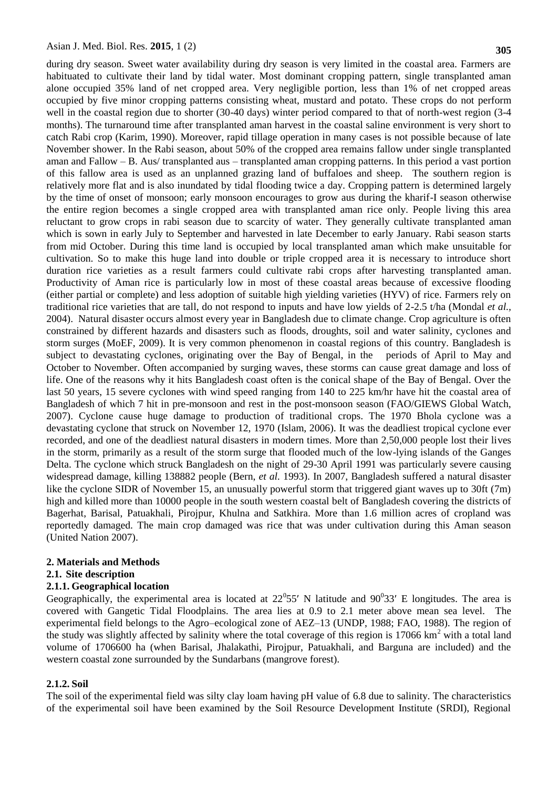during dry season. Sweet water availability during dry season is very limited in the coastal area. Farmers are habituated to cultivate their land by tidal water. Most dominant cropping pattern, single transplanted aman alone occupied 35% land of net cropped area. Very negligible portion, less than 1% of net cropped areas occupied by five minor cropping patterns consisting wheat, mustard and potato. These crops do not perform well in the coastal region due to shorter (30-40 days) winter period compared to that of north-west region (3-4 months). The turnaround time after transplanted aman harvest in the coastal saline environment is very short to catch Rabi crop (Karim, 1990). Moreover, rapid tillage operation in many cases is not possible because of late November shower. In the Rabi season, about 50% of the cropped area remains fallow under single transplanted aman and Fallow – B. Aus/ transplanted aus – transplanted aman cropping patterns. In this period a vast portion of this fallow area is used as an unplanned grazing land of buffaloes and sheep. The southern region is relatively more flat and is also inundated by tidal flooding twice a day. Cropping pattern is determined largely by the time of onset of monsoon; early monsoon encourages to grow aus during the kharif-I season otherwise the entire region becomes a single cropped area with transplanted aman rice only. People living this area reluctant to grow crops in rabi season due to scarcity of water. They generally cultivate transplanted aman which is sown in early July to September and harvested in late December to early January. Rabi season starts from mid October. During this time land is occupied by local transplanted aman which make unsuitable for cultivation. So to make this huge land into double or triple cropped area it is necessary to introduce short duration rice varieties as a result farmers could cultivate rabi crops after harvesting transplanted aman. Productivity of Aman rice is particularly low in most of these coastal areas because of excessive flooding (either partial or complete) and less adoption of suitable high yielding varieties (HYV) of rice. Farmers rely on traditional rice varieties that are tall, do not respond to inputs and have low yields of 2-2.5 t/ha (Mondal *et al.,*  2004). Natural disaster occurs almost every year in Bangladesh due to climate change. Crop agriculture is often constrained by different hazards and disasters such as floods, droughts, soil and water salinity, cyclones and storm surges (MoEF, 2009). It is very common phenomenon in coastal regions of this country. Bangladesh is subject to devastating cyclones, originating over the Bay of Bengal, in the periods of April to May and October to November. Often accompanied by surging waves, these storms can cause great damage and loss of life. One of the reasons why it hits Bangladesh coast often is the conical shape of the Bay of Bengal. Over the last 50 years, 15 severe cyclones with wind speed ranging from 140 to 225 km/hr have hit the coastal area of Bangladesh of which 7 hit in pre-monsoon and rest in the post-monsoon season (FAO/GIEWS Global Watch, 2007). Cyclone cause huge damage to production of traditional crops. The 1970 Bhola cyclone was a devastating cyclone that struck on November 12, 1970 (Islam, 2006). It was the deadliest tropical cyclone ever recorded, and one of the deadliest natural disasters in modern times. More than 2,50,000 people lost their lives in the storm, primarily as a result of the storm surge that flooded much of the low-lying islands of the Ganges Delta. The cyclone which struck Bangladesh on the night of 29-30 April 1991 was particularly severe causing widespread damage, killing 138882 people (Bern, *et al.* 1993). In 2007, Bangladesh suffered a natural disaster like the cyclone SIDR of November 15, an unusually powerful storm that triggered giant waves up to 30ft (7m) high and killed more than 10000 people in the south western coastal belt of Bangladesh covering the districts of Bagerhat, Barisal, Patuakhali, Pirojpur, Khulna and Satkhira. More than 1.6 million acres of cropland was reportedly damaged. The main crop damaged was rice that was under cultivation during this Aman season (United Nation 2007).

#### **2. Materials and Methods**

#### **2.1. Site description**

#### **2.1.1. Geographical location**

Geographically, the experimental area is located at  $22^{\circ}55'$  N latitude and  $90^{\circ}33'$  E longitudes. The area is covered with Gangetic Tidal Floodplains. The area lies at 0.9 to 2.1 meter above mean sea level. The experimental field belongs to the Agro–ecological zone of AEZ–13 (UNDP, 1988; FAO, 1988). The region of the study was slightly affected by salinity where the total coverage of this region is  $17066 \text{ km}^2$  with a total land volume of 1706600 ha (when Barisal, Jhalakathi, Pirojpur, Patuakhali, and Barguna are included) and the western coastal zone surrounded by the Sundarbans (mangrove forest).

#### **2.1.2. Soil**

The soil of the experimental field was silty clay loam having pH value of 6.8 due to salinity. The characteristics of the experimental soil have been examined by the Soil Resource Development Institute (SRDI), Regional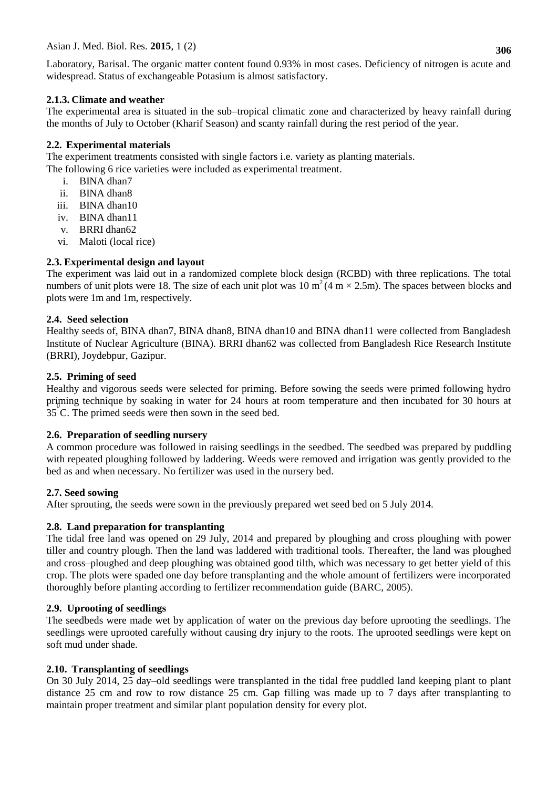Laboratory, Barisal. The organic matter content found 0.93% in most cases. Deficiency of nitrogen is acute and widespread. Status of exchangeable Potasium is almost satisfactory.

## **2.1.3. Climate and weather**

The experimental area is situated in the sub–tropical climatic zone and characterized by heavy rainfall during the months of July to October (Kharif Season) and scanty rainfall during the rest period of the year.

## **2.2. Experimental materials**

The experiment treatments consisted with single factors i.e. variety as planting materials.

The following 6 rice varieties were included as experimental treatment.

- i. BINA dhan7
- ii. BINA dhan8
- iii. BINA dhan10
- iv. BINA dhan11
- v. BRRI dhan62
- vi. Maloti (local rice)

## **2.3. Experimental design and layout**

The experiment was laid out in a randomized complete block design (RCBD) with three replications. The total numbers of unit plots were 18. The size of each unit plot was 10 m<sup>2</sup>(4 m  $\times$  2.5m). The spaces between blocks and plots were 1m and 1m, respectively.

## **2.4. Seed selection**

Healthy seeds of, BINA dhan7, BINA dhan8, BINA dhan10 and BINA dhan11 were collected from Bangladesh Institute of Nuclear Agriculture (BINA). BRRI dhan62 was collected from Bangladesh Rice Research Institute (BRRI), Joydebpur, Gazipur.

## **2.5. Priming of seed**

Healthy and vigorous seeds were selected for priming. Before sowing the seeds were primed following hydro priming technique by soaking in water for 24 hours at room temperature and then incubated for 30 hours at 0 35 C. The primed seeds were then sown in the seed bed.

### **2.6. Preparation of seedling nursery**

A common procedure was followed in raising seedlings in the seedbed. The seedbed was prepared by puddling with repeated ploughing followed by laddering. Weeds were removed and irrigation was gently provided to the bed as and when necessary. No fertilizer was used in the nursery bed.

# **2.7. Seed sowing**

After sprouting, the seeds were sown in the previously prepared wet seed bed on 5 July 2014.

# **2.8. Land preparation for transplanting**

The tidal free land was opened on 29 July, 2014 and prepared by ploughing and cross ploughing with power tiller and country plough. Then the land was laddered with traditional tools. Thereafter, the land was ploughed and cross–ploughed and deep ploughing was obtained good tilth, which was necessary to get better yield of this crop. The plots were spaded one day before transplanting and the whole amount of fertilizers were incorporated thoroughly before planting according to fertilizer recommendation guide (BARC, 2005).

### **2.9. Uprooting of seedlings**

The seedbeds were made wet by application of water on the previous day before uprooting the seedlings. The seedlings were uprooted carefully without causing dry injury to the roots. The uprooted seedlings were kept on soft mud under shade.

# **2.10. Transplanting of seedlings**

On 30 July 2014, 25 day–old seedlings were transplanted in the tidal free puddled land keeping plant to plant distance 25 cm and row to row distance 25 cm. Gap filling was made up to 7 days after transplanting to maintain proper treatment and similar plant population density for every plot.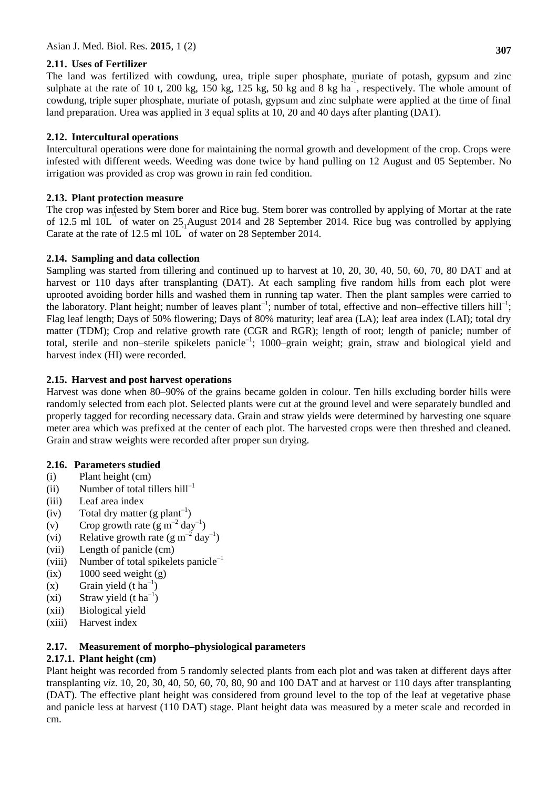#### **2.11. Uses of Fertilizer**

The land was fertilized with cowdung, urea, triple super phosphate, muriate of potash, gypsum and zinc sulphate at the rate of 10 t, 200 kg, 150 kg, 125 kg, 50 kg and 8 kg ha, respectively. The whole amount of cowdung, triple super phosphate, muriate of potash, gypsum and zinc sulphate were applied at the time of final land preparation. Urea was applied in 3 equal splits at 10, 20 and 40 days after planting (DAT).

### **2.12. Intercultural operations**

Intercultural operations were done for maintaining the normal growth and development of the crop. Crops were infested with different weeds. Weeding was done twice by hand pulling on 12 August and 05 September. No irrigation was provided as crop was grown in rain fed condition.

### **2.13. Plant protection measure**

The crop was infested by Stem borer and Rice bug. Stem borer was controlled by applying of Mortar at the rate of 12.5 ml 10L of water on  $25_A$ August 2014 and 28 September 2014. Rice bug was controlled by applying Carate at the rate of 12.5 ml 10L of water on 28 September 2014.

### **2.14. Sampling and data collection**

Sampling was started from tillering and continued up to harvest at 10, 20, 30, 40, 50, 60, 70, 80 DAT and at harvest or 110 days after transplanting (DAT). At each sampling five random hills from each plot were uprooted avoiding border hills and washed them in running tap water. Then the plant samples were carried to the laboratory. Plant height; number of leaves plant<sup>-1</sup>; number of total, effective and non–effective tillers hill<sup>-1</sup>; Flag leaf length; Days of 50% flowering; Days of 80% maturity; leaf area (LA); leaf area index (LAI); total dry matter (TDM); Crop and relative growth rate (CGR and RGR); length of root; length of panicle; number of total, sterile and non-sterile spikelets panicle<sup>-1</sup>; 1000-grain weight; grain, straw and biological yield and harvest index (HI) were recorded.

## **2.15. Harvest and post harvest operations**

Harvest was done when 80–90% of the grains became golden in colour. Ten hills excluding border hills were randomly selected from each plot. Selected plants were cut at the ground level and were separately bundled and properly tagged for recording necessary data. Grain and straw yields were determined by harvesting one square meter area which was prefixed at the center of each plot. The harvested crops were then threshed and cleaned. Grain and straw weights were recorded after proper sun drying.

### **2.16. Parameters studied**

- (i) Plant height (cm)
- (ii) Number of total tillers hill<sup>-1</sup>
- (iii) Leaf area index
- $(iv)$  Total dry matter (g plant<sup>-1</sup>)
- (v) Crop growth rate  $(g m^{-2} day^{-1})$
- (vi) Relative growth rate  $(g m^{-2} day^{-1})$
- (vii) Length of panicle (cm)
- (viii) Number of total spikelets panicle $^{-1}$
- $(ix)$  1000 seed weight  $(g)$
- $(x)$  Grain yield  $(t \, ha^{-1})$
- $(xi)$  Straw yield  $(t \, ha^{-1})$
- (xii) Biological yield
- (xiii) Harvest index

### **2.17. Measurement of morpho–physiological parameters**

### **2.17.1. Plant height (cm)**

Plant height was recorded from 5 randomly selected plants from each plot and was taken at different days after transplanting *viz*. 10, 20, 30, 40, 50, 60, 70, 80, 90 and 100 DAT and at harvest or 110 days after transplanting (DAT). The effective plant height was considered from ground level to the top of the leaf at vegetative phase and panicle less at harvest (110 DAT) stage. Plant height data was measured by a meter scale and recorded in cm.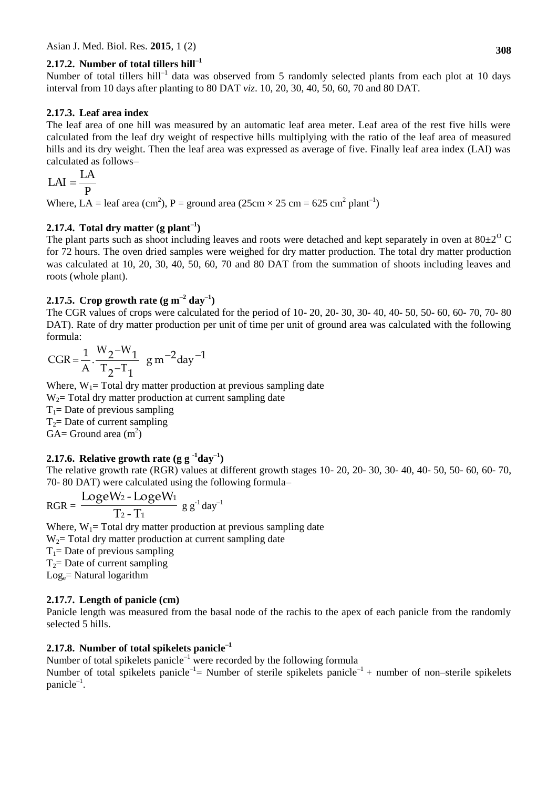#### **2.17.2. Number of total tillers hill–1**

Number of total tillers hill<sup>-1</sup> data was observed from 5 randomly selected plants from each plot at 10 days interval from 10 days after planting to 80 DAT *viz*. 10, 20, 30, 40, 50, 60, 70 and 80 DAT.

#### **2.17.3. Leaf area index**

The leaf area of one hill was measured by an automatic leaf area meter. Leaf area of the rest five hills were calculated from the leaf dry weight of respective hills multiplying with the ratio of the leaf area of measured hills and its dry weight. Then the leaf area was expressed as average of five. Finally leaf area index (LAI) was calculated as follows–

$$
LAI = \frac{LA}{P}
$$

Where, LA = leaf area (cm<sup>2</sup>), P = ground area (25cm  $\times$  25 cm = 625 cm<sup>2</sup> plant<sup>-1</sup>)

# **2.17.4.** Total dry matter (g plant<sup>-1</sup>)

The plant parts such as shoot including leaves and roots were detached and kept separately in oven at  $80\pm2^{\circ}$  C for 72 hours. The oven dried samples were weighed for dry matter production. The total dry matter production was calculated at 10, 20, 30, 40, 50, 60, 70 and 80 DAT from the summation of shoots including leaves and roots (whole plant).

#### **2.17.5.** Crop growth rate (g  $m^{-2}$  day<sup>-1</sup>)

The CGR values of crops were calculated for the period of 10- 20, 20- 30, 30- 40, 40- 50, 50- 60, 60- 70, 70- 80 DAT). Rate of dry matter production per unit of time per unit of ground area was calculated with the following formula:

$$
CGR = \frac{1}{A} \cdot \frac{W_2 - W_1}{T_2 - T_1} \text{ g m}^{-2} \text{day}^{-1}
$$

Where,  $W_1$ = Total dry matter production at previous sampling date

 $W_2$ = Total dry matter production at current sampling date

 $T_1$ = Date of previous sampling

 $T_2$ = Date of current sampling

 $GA =$  Ground area  $(m<sup>2</sup>)$ 

## **2.17.6. Relative growth rate (g g**  $\text{-}$ **<sup>1</sup>day**<sup>-1</sup>)

The relative growth rate (RGR) values at different growth stages 10- 20, 20- 30, 30- 40, 40- 50, 50- 60, 60- 70, 70- 80 DAT) were calculated using the following formula–

$$
RGR = \frac{LogeW_2 - LogeW_1}{T_2 - T_1} g g^{-1} day^{-1}
$$

Where,  $W_1$ = Total dry matter production at previous sampling date  $W<sub>2</sub>=$  Total dry matter production at current sampling date  $T_1$ = Date of previous sampling  $T_2$ = Date of current sampling

Loge= Natural logarithm

### **2.17.7. Length of panicle (cm)**

Panicle length was measured from the basal node of the rachis to the apex of each panicle from the randomly selected 5 hills.

### **2.17.8. Number of total spikelets panicle–1**

Number of total spikelets panicle<sup>-1</sup> were recorded by the following formula

Number of total spikelets panicle<sup>-1</sup> = Number of sterile spikelets panicle<sup>-1</sup> + number of non–sterile spikelets panicle–1 .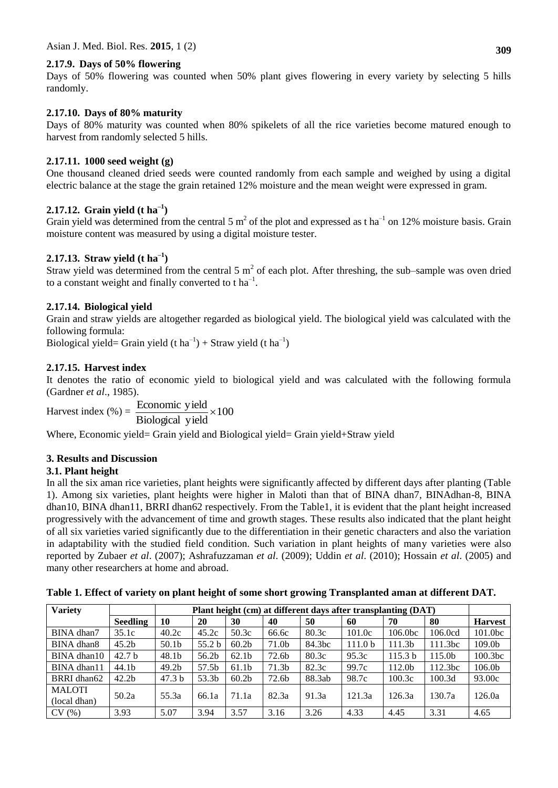#### **2.17.9. Days of 50% flowering**

Days of 50% flowering was counted when 50% plant gives flowering in every variety by selecting 5 hills randomly.

### **2.17.10. Days of 80% maturity**

Days of 80% maturity was counted when 80% spikelets of all the rice varieties become matured enough to harvest from randomly selected 5 hills.

#### **2.17.11. 1000 seed weight (g)**

One thousand cleaned dried seeds were counted randomly from each sample and weighed by using a digital electric balance at the stage the grain retained 12% moisture and the mean weight were expressed in gram.

### **2.17.12. Grain yield (t ha–1 )**

Grain yield was determined from the central 5 m<sup>2</sup> of the plot and expressed as t ha<sup>-1</sup> on 12% moisture basis. Grain moisture content was measured by using a digital moisture tester.

### **2.17.13. Straw yield (t ha–1 )**

Straw yield was determined from the central 5  $m^2$  of each plot. After threshing, the sub–sample was oven dried to a constant weight and finally converted to t  $ha^{-1}$ .

#### **2.17.14. Biological yield**

Grain and straw yields are altogether regarded as biological yield. The biological yield was calculated with the following formula:

Biological yield= Grain yield  $(t \text{ ha}^{-1})$  + Straw yield  $(t \text{ ha}^{-1})$ 

#### **2.17.15. Harvest index**

It denotes the ratio of economic yield to biological yield and was calculated with the following formula (Gardner *et al*., 1985).

Harvest index  $\left(\% \right) = \frac{120 \text{ m/s}}{124 \text{ s}} \times 100$ Biological yield Economic yield  $\times$ 

Where, Economic yield= Grain yield and Biological yield= Grain yield+Straw yield

### **3. Results and Discussion**

#### **3.1. Plant height**

In all the six aman rice varieties, plant heights were significantly affected by different days after planting (Table 1). Among six varieties, plant heights were higher in Maloti than that of BINA dhan7, BINAdhan-8, BINA dhan10, BINA dhan11, BRRI dhan62 respectively. From the Table1, it is evident that the plant height increased progressively with the advancement of time and growth stages. These results also indicated that the plant height of all six varieties varied significantly due to the differentiation in their genetic characters and also the variation in adaptability with the studied field condition. Such variation in plant heights of many varieties were also reported by Zubaer *et al*. (2007); Ashrafuzzaman *et al*. (2009); Uddin *et al*. (2010); Hossain *et al*. (2005) and many other researchers at home and abroad.

| <b>Variety</b>                | Plant height (cm) at different days after transplanting (DAT) |                   |                   |                   |                   |        |                    |                    |                     |                     |
|-------------------------------|---------------------------------------------------------------|-------------------|-------------------|-------------------|-------------------|--------|--------------------|--------------------|---------------------|---------------------|
|                               | <b>Seedling</b>                                               | 10                | 20                | 30                | 40                | 50     | 60                 | 70                 | 80                  | <b>Harvest</b>      |
| BINA dhan7                    | 35.1c                                                         | 40.2c             | 45.2c             | 50.3c             | 66.6c             | 80.3c  | 101.0c             | 106.0bc            | 106.0cd             | 101.0 <sub>bc</sub> |
| BINA dhan8                    | 45.2 <sub>b</sub>                                             | 50.1 <sub>b</sub> | 55.2 <sub>b</sub> | 60.2 <sub>b</sub> | 71.0b             | 84.3bc | 111.0 <sub>b</sub> | 111.3 <sub>b</sub> | 111.3 <sub>bc</sub> | 109.0 <sub>b</sub>  |
| BINA dhan10                   | 42.7 <sub>b</sub>                                             | 48.1 <sub>b</sub> | 56.2b             | 62.1 <sub>b</sub> | 72.6 <sub>b</sub> | 80.3c  | 95.3c              | 115.3 <sub>b</sub> | 115.0b              | 100.3 <sub>bc</sub> |
| BINA dhan11                   | 44.1b                                                         | 49.2 <sub>b</sub> | 57.5b             | 61.1b             | 71.3 <sub>b</sub> | 82.3c  | 99.7c              | 112.0b             | 112.3 <sub>bc</sub> | 106.0b              |
| BRRI dhan62                   | 42.2 <sub>b</sub>                                             | 47.3 <sub>b</sub> | 53.3b             | 60.2 <sub>b</sub> | 72.6b             | 88.3ab | 98.7c              | 100.3c             | 100.3d              | 93.00c              |
| <b>MALOTI</b><br>(local dhan) | 50.2a                                                         | 55.3a             | 66.1a             | 71.1a             | 82.3a             | 91.3a  | 121.3a             | 126.3a             | 130.7a              | 126.0a              |
| CV(%)                         | 3.93                                                          | 5.07              | 3.94              | 3.57              | 3.16              | 3.26   | 4.33               | 4.45               | 3.31                | 4.65                |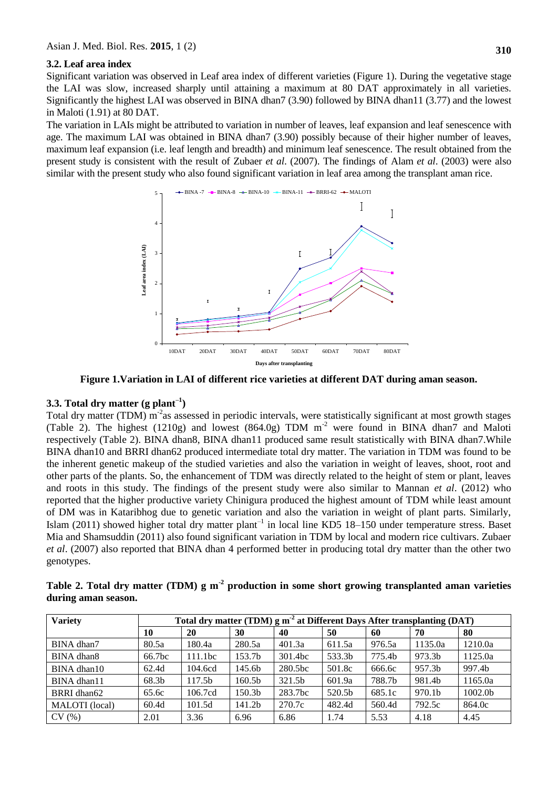#### **3.2. Leaf area index**

Significant variation was observed in Leaf area index of different varieties (Figure 1). During the vegetative stage the LAI was slow, increased sharply until attaining a maximum at 80 DAT approximately in all varieties. Significantly the highest LAI was observed in BINA dhan7 (3.90) followed by BINA dhan11 (3.77) and the lowest in Maloti (1.91) at 80 DAT.

The variation in LAIs might be attributed to variation in number of leaves, leaf expansion and leaf senescence with age. The maximum LAI was obtained in BINA dhan7 (3.90) possibly because of their higher number of leaves, maximum leaf expansion (i.e. leaf length and breadth) and minimum leaf senescence. The result obtained from the present study is consistent with the result of Zubaer *et al*. (2007). The findings of Alam *et al*. (2003) were also similar with the present study who also found significant variation in leaf area among the transplant aman rice.



**Figure 1.Variation in LAI of different rice varieties at different DAT during aman season.**

### **3.3. Total dry matter (g plant–1 )**

Total dry matter (TDM) m<sup>-2</sup>as assessed in periodic intervals, were statistically significant at most growth stages (Table 2). The highest (1210g) and lowest (864.0g) TDM  $m<sup>2</sup>$  were found in BINA dhan7 and Maloti respectively (Table 2). BINA dhan8, BINA dhan11 produced same result statistically with BINA dhan7. While BINA dhan10 and BRRI dhan62 produced intermediate total dry matter. The variation in TDM was found to be the inherent genetic makeup of the studied varieties and also the variation in weight of leaves, shoot, root and other parts of the plants. So, the enhancement of TDM was directly related to the height of stem or plant, leaves and roots in this study. The findings of the present study were also similar to Mannan *et al*. (2012) who reported that the higher productive variety Chinigura produced the highest amount of TDM while least amount of DM was in Kataribhog due to genetic variation and also the variation in weight of plant parts. Similarly, Islam (2011) showed higher total dry matter plant<sup>-1</sup> in local line KD5 18-150 under temperature stress. Baset Mia and Shamsuddin (2011) also found significant variation in TDM by local and modern rice cultivars. Zubaer *et al*. (2007) also reported that BINA dhan 4 performed better in producing total dry matter than the other two genotypes.

**Table 2. Total dry matter (TDM) g m-2 production in some short growing transplanted aman varieties during aman season.**

| <b>Variety</b>     | Total dry matter (TDM) g m <sup>-2</sup> at Different Days After transplanting (DAT) |         |                    |         |        |        |         |         |
|--------------------|--------------------------------------------------------------------------------------|---------|--------------------|---------|--------|--------|---------|---------|
|                    | 10                                                                                   | 20      | 30                 | 40      | 50     | 60     | 70      | 80      |
| BINA dhan7         | 80.5a                                                                                | 180.4a  | 280.5a             | 401.3a  | 611.5a | 976.5a | 1135.0a | 1210.0a |
| BINA dhan8         | 66.7bc                                                                               | 111.1bc | 153.7b             | 301.4bc | 533.3b | 775.4b | 973.3b  | 1125.0a |
| BINA dhan10        | 62.4d                                                                                | 104.6cd | 145.6b             | 280.5bc | 501.8c | 666.6c | 957.3b  | 997.4b  |
| BINA dhan11        | 68.3b                                                                                | 117.5b  | 160.5 <sub>b</sub> | 321.5b  | 601.9a | 788.7b | 981.4b  | 1165.0a |
| <b>BRRI</b> dhan62 | 65.6c                                                                                | 106.7cd | 150.3b             | 283.7bc | 520.5b | 685.1c | 970.1b  | 1002.0b |
| MALOTI (local)     | 60.4d                                                                                | 101.5d  | 141.2b             | 270.7c  | 482.4d | 560.4d | 792.5c  | 864.0c  |
| CV(%)              | 2.01                                                                                 | 3.36    | 6.96               | 6.86    | 1.74   | 5.53   | 4.18    | 4.45    |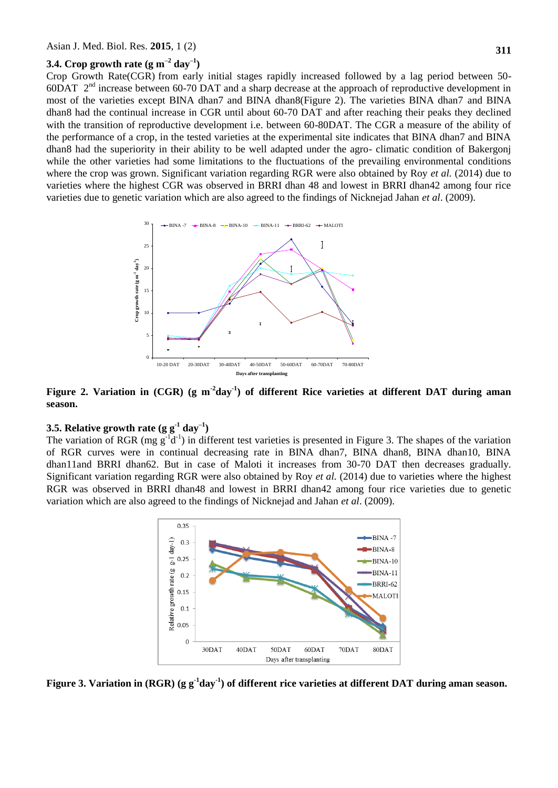#### **3.4.** Crop growth rate  $(g m^{-2} day^{-1})$

Crop Growth Rate(CGR) from early initial stages rapidly increased followed by a lag period between 50- 60DAT  $2<sup>nd</sup>$  increase between 60-70 DAT and a sharp decrease at the approach of reproductive development in most of the varieties except BINA dhan7 and BINA dhan8(Figure 2). The varieties BINA dhan7 and BINA dhan8 had the continual increase in CGR until about 60-70 DAT and after reaching their peaks they declined with the transition of reproductive development i.e. between 60-80DAT. The CGR a measure of the ability of the performance of a crop, in the tested varieties at the experimental site indicates that BINA dhan7 and BINA dhan8 had the superiority in their ability to be well adapted under the agro- climatic condition of Bakergonj while the other varieties had some limitations to the fluctuations of the prevailing environmental conditions where the crop was grown. Significant variation regarding RGR were also obtained by Roy *et al.* (2014) due to varieties where the highest CGR was observed in BRRI dhan 48 and lowest in BRRI dhan42 among four rice varieties due to genetic variation which are also agreed to the findings of Nicknejad Jahan *et al*. (2009).



Figure 2. Variation in (CGR) (g m<sup>-2</sup>day<sup>-1</sup>) of different Rice varieties at different DAT during aman **season.**

#### **3.5. Relative growth rate (g**  $g^{-1}$  **day<sup>-1</sup>)**

The variation of RGR (mg  $g^{-1}d^{-1}$ ) in different test varieties is presented in Figure 3. The shapes of the variation of RGR curves were in continual decreasing rate in BINA dhan7, BINA dhan8, BINA dhan10, BINA dhan11and BRRI dhan62. But in case of Maloti it increases from 30-70 DAT then decreases gradually. Significant variation regarding RGR were also obtained by Roy *et al.* (2014) due to varieties where the highest RGR was observed in BRRI dhan48 and lowest in BRRI dhan42 among four rice varieties due to genetic variation which are also agreed to the findings of Nicknejad and Jahan *et al*. (2009).



**Figure 3. Variation in (RGR) (g g-1 day-1 ) of different rice varieties at different DAT during aman season.**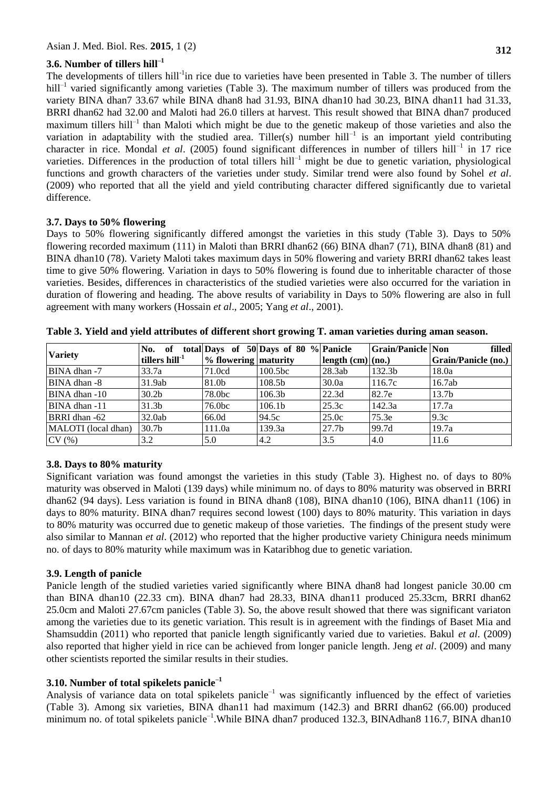#### **3.6. Number of tillers hill–1**

The developments of tillers hill<sup>-1</sup>in rice due to varieties have been presented in Table 3. The number of tillers hill<sup>-1</sup> varied significantly among varieties (Table 3). The maximum number of tillers was produced from the variety BINA dhan7 33.67 while BINA dhan8 had 31.93, BINA dhan10 had 30.23, BINA dhan11 had 31.33, BRRI dhan62 had 32.00 and Maloti had 26.0 tillers at harvest. This result showed that BINA dhan7 produced maximum tillers hill<sup>-1</sup> than Maloti which might be due to the genetic makeup of those varieties and also the variation in adaptability with the studied area. Tiller(s) number hill<sup>-1</sup> is an important yield contributing character in rice. Mondal et al. (2005) found significant differences in number of tillers hill<sup>-1</sup> in 17 rice varieties. Differences in the production of total tillers hill<sup>-1</sup> might be due to genetic variation, physiological functions and growth characters of the varieties under study. Similar trend were also found by Sohel *et al*. (2009) who reported that all the yield and yield contributing character differed significantly due to varietal difference.

#### **3.7. Days to 50% flowering**

Days to 50% flowering significantly differed amongst the varieties in this study (Table 3). Days to 50% flowering recorded maximum (111) in Maloti than BRRI dhan62 (66) BINA dhan7 (71), BINA dhan8 (81) and BINA dhan10 (78). Variety Maloti takes maximum days in 50% flowering and variety BRRI dhan62 takes least time to give 50% flowering. Variation in days to 50% flowering is found due to inheritable character of those varieties. Besides, differences in characteristics of the studied varieties were also occurred for the variation in duration of flowering and heading. The above results of variability in Days to 50% flowering are also in full agreement with many workers (Hossain *et al*., 2005; Yang *et al*., 2001).

| <b>Variety</b>       | $ No.$ of total Days of 50 Days of 80 % Panicle |                                  |                     |                                           | <b>Grain/Panicle Non</b> | filled              |
|----------------------|-------------------------------------------------|----------------------------------|---------------------|-------------------------------------------|--------------------------|---------------------|
|                      | tillers hill $1$                                | $\frac{1}{2}$ flowering maturity |                     | $\left  \text{length (cm)} \right $ (no.) |                          | Grain/Panicle (no.) |
| BINA dhan -7         | 33.7a                                           | 71.0cd                           | 100.5 <sub>bc</sub> | 28.3ab                                    | 132.3 <sub>b</sub>       | 18.0a               |
| BINA dhan -8         | 31.9ab                                          | 81.0b                            | 108.5b              | 30.0a                                     | 116.7c                   | 16.7ab              |
| BINA dhan -10        | 30.2 <sub>b</sub>                               | 78.0bc                           | 106.3 <sub>b</sub>  | 22.3d                                     | 82.7e                    | 13.7 <sub>b</sub>   |
| BINA dhan -11        | 31.3 <sub>b</sub>                               | 76.0 <sub>bc</sub>               | 106.1 <sub>b</sub>  | 25.3c                                     | 142.3a                   | 17.7a               |
| <b>BRRI</b> dhan -62 | 32.0ab                                          | 66.0d                            | 94.5c               | 25.0c                                     | 75.3e                    | 9.3c                |
| MALOTI (local dhan)  | 30.7 <sub>b</sub>                               | 111.0a                           | 139.3a              | 27.7 <sub>b</sub>                         | 99.7d                    | 19.7a               |
| CV(%)                | 3.2                                             | 5.0                              | 4.2                 | 3.5                                       | 4.0                      | 11.6                |

**Table 3. Yield and yield attributes of different short growing T. aman varieties during aman season.**

### **3.8. Days to 80% maturity**

Significant variation was found amongst the varieties in this study (Table 3). Highest no. of days to 80% maturity was observed in Maloti (139 days) while minimum no. of days to 80% maturity was observed in BRRI dhan62 (94 days). Less variation is found in BINA dhan8 (108), BINA dhan10 (106), BINA dhan11 (106) in days to 80% maturity. BINA dhan7 requires second lowest (100) days to 80% maturity. This variation in days to 80% maturity was occurred due to genetic makeup of those varieties. The findings of the present study were also similar to Mannan *et al*. (2012) who reported that the higher productive variety Chinigura needs minimum no. of days to 80% maturity while maximum was in Kataribhog due to genetic variation.

#### **3.9. Length of panicle**

Panicle length of the studied varieties varied significantly where BINA dhan8 had longest panicle 30.00 cm than BINA dhan10 (22.33 cm). BINA dhan7 had 28.33, BINA dhan11 produced 25.33cm, BRRI dhan62 25.0cm and Maloti 27.67cm panicles (Table 3). So, the above result showed that there was significant variaton among the varieties due to its genetic variation. This result is in agreement with the findings of Baset Mia and Shamsuddin (2011) who reported that panicle length significantly varied due to varieties. Bakul *et al*. (2009) also reported that higher yield in rice can be achieved from longer panicle length. Jeng *et al*. (2009) and many other scientists reported the similar results in their studies.

### **3.10. Number of total spikelets panicle–1**

Analysis of variance data on total spikelets panicle<sup>-1</sup> was significantly influenced by the effect of varieties (Table 3). Among six varieties, BINA dhan11 had maximum (142.3) and BRRI dhan62 (66.00) produced minimum no. of total spikelets panicle<sup>-1</sup>. While BINA dhan7 produced 132.3, BINAdhan8 116.7, BINA dhan10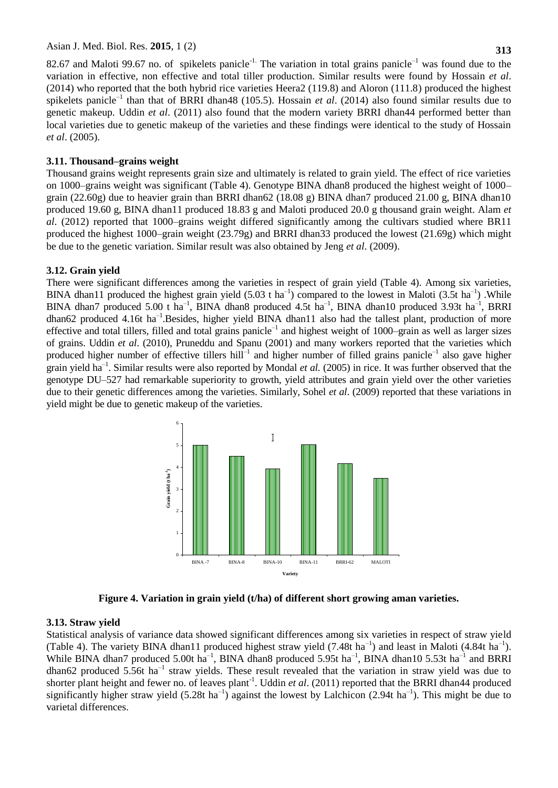82.67 and Maloti 99.67 no. of spikelets panicle<sup>-1.</sup> The variation in total grains panicle<sup>-1</sup> was found due to the variation in effective, non effective and total tiller production. Similar results were found by Hossain *et al*. (2014) who reported that the both hybrid rice varieties Heera2 (119.8) and Aloron (111.8) produced the highest spikelets panicle<sup>-1</sup> than that of BRRI dhan48 (105.5). Hossain *et al.* (2014) also found similar results due to genetic makeup. Uddin *et al*. (2011) also found that the modern variety BRRI dhan44 performed better than local varieties due to genetic makeup of the varieties and these findings were identical to the study of Hossain *et al*. (2005).

#### **3.11. Thousand–grains weight**

Thousand grains weight represents grain size and ultimately is related to grain yield. The effect of rice varieties on 1000–grains weight was significant (Table 4). Genotype BINA dhan8 produced the highest weight of 1000– grain (22.60g) due to heavier grain than BRRI dhan62 (18.08 g) BINA dhan7 produced 21.00 g, BINA dhan10 produced 19.60 g, BINA dhan11 produced 18.83 g and Maloti produced 20.0 g thousand grain weight. Alam *et al*. (2012) reported that 1000–grains weight differed significantly among the cultivars studied where BR11 produced the highest 1000–grain weight (23.79g) and BRRI dhan33 produced the lowest (21.69g) which might be due to the genetic variation. Similar result was also obtained by Jeng *et al*. (2009).

#### **3.12. Grain yield**

There were significant differences among the varieties in respect of grain yield (Table 4). Among six varieties, BINA dhan11 produced the highest grain yield  $(5.03 \text{ t ha}^{-1})$  compared to the lowest in Maloti  $(3.5t \text{ ha}^{-1})$ . While BINA dhan7 produced 5.00 t ha<sup>-1</sup>, BINA dhan8 produced 4.5t ha<sup>-1</sup>, BINA dhan10 produced 3.93t ha<sup>-1</sup>, BRRI dhan62 produced 4.16t ha<sup>-1</sup>.Besides, higher yield BINA dhan11 also had the tallest plant, production of more effective and total tillers, filled and total grains panicle<sup>-1</sup> and highest weight of 1000-grain as well as larger sizes of grains. Uddin *et al*. (2010), Pruneddu and Spanu (2001) and many workers reported that the varieties which produced higher number of effective tillers hill<sup>-1</sup> and higher number of filled grains panicle<sup>-1</sup> also gave higher grain yield ha–1 . Similar results were also reported by Mondal *et al.* (2005) in rice. It was further observed that the genotype DU–527 had remarkable superiority to growth, yield attributes and grain yield over the other varieties due to their genetic differences among the varieties. Similarly, Sohel *et al*. (2009) reported that these variations in yield might be due to genetic makeup of the varieties.



**Figure 4. Variation in grain yield (t/ha) of different short growing aman varieties.**

#### **3.13. Straw yield**

Statistical analysis of variance data showed significant differences among six varieties in respect of straw yield (Table 4). The variety BINA dhan11 produced highest straw yield  $(7.48t \text{ ha}^{-1})$  and least in Maloti  $(4.84t \text{ ha}^{-1})$ . While BINA dhan7 produced 5.00t ha<sup>-1</sup>, BINA dhan8 produced 5.95t ha<sup>-1</sup>, BINA dhan10 5.53t ha<sup>-1</sup> and BRRI dhan62 produced 5.56t ha<sup>-1</sup> straw yields. These result revealed that the variation in straw yield was due to shorter plant height and fewer no. of leaves plant<sup>-1</sup>. Uddin *et al.* (2011) reported that the BRRI dhan44 produced significantly higher straw yield  $(5.28t \text{ ha}^{-1})$  against the lowest by Lalchicon  $(2.94t \text{ ha}^{-1})$ . This might be due to varietal differences.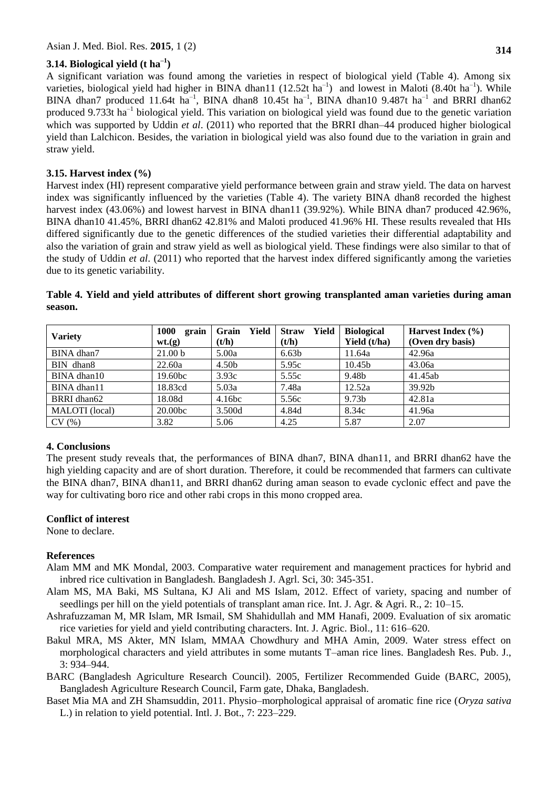#### **3.14. Biological yield (t ha–1 )**

A significant variation was found among the varieties in respect of biological yield (Table 4). Among six varieties, biological yield had higher in BINA dhan11 (12.52t ha<sup>-1</sup>) and lowest in Maloti (8.40t ha<sup>-1</sup>). While BINA dhan7 produced 11.64t ha<sup>-1</sup>, BINA dhan8 10.45t ha<sup>-1</sup>, BINA dhan10 9.487t ha<sup>-1</sup> and BRRI dhan62 produced 9.733t ha<sup>-1</sup> biological yield. This variation on biological yield was found due to the genetic variation which was supported by Uddin *et al.* (2011) who reported that the BRRI dhan-44 produced higher biological yield than Lalchicon. Besides, the variation in biological yield was also found due to the variation in grain and straw yield.

#### **3.15. Harvest index (%)**

Harvest index (HI) represent comparative yield performance between grain and straw yield. The data on harvest index was significantly influenced by the varieties (Table 4). The variety BINA dhan8 recorded the highest harvest index (43.06%) and lowest harvest in BINA dhan11 (39.92%). While BINA dhan7 produced 42.96%, BINA dhan10 41.45%, BRRI dhan62 42.81% and Maloti produced 41.96% HI. These results revealed that HIs differed significantly due to the genetic differences of the studied varieties their differential adaptability and also the variation of grain and straw yield as well as biological yield. These findings were also similar to that of the study of Uddin *et al*. (2011) who reported that the harvest index differed significantly among the varieties due to its genetic variability.

| <b>Variety</b> | <b>1000</b><br>grain<br>wt.(g) | Yield<br>Grain<br>(t/h) | Yield<br><b>Straw</b><br>(t/h) | <b>Biological</b><br>Yield (t/ha) | Harvest Index $(\% )$<br>(Oven dry basis) |
|----------------|--------------------------------|-------------------------|--------------------------------|-----------------------------------|-------------------------------------------|
| BINA dhan7     | 21.00 <sub>b</sub>             | 5.00a                   | 6.63 <sub>b</sub>              | 11.64a                            | 42.96a                                    |
| BIN dhan8      | 22.60a                         | 4.50 <sub>b</sub>       | 5.95c                          | 10.45 <sub>b</sub>                | 43.06a                                    |
| BINA dhan10    | 19.60 <sub>bc</sub>            | 3.93c                   | 5.55c                          | 9.48b                             | 41.45ab                                   |
| BINA dhan11    | 18.83cd                        | 5.03a                   | 7.48a                          | 12.52a                            | 39.92b                                    |
| BRRI dhan62    | 18.08d                         | 4.16bc                  | 5.56c                          | 9.73 <sub>b</sub>                 | 42.81a                                    |
| MALOTI (local) | 20.00 <sub>bc</sub>            | 3.500d                  | 4.84d                          | 8.34c                             | 41.96a                                    |
| CV(%)          | 3.82                           | 5.06                    | 4.25                           | 5.87                              | 2.07                                      |

| Table 4. Yield and yield attributes of different short growing transplanted aman varieties during aman |  |
|--------------------------------------------------------------------------------------------------------|--|
| season.                                                                                                |  |

#### **4. Conclusions**

The present study reveals that, the performances of BINA dhan7, BINA dhan11, and BRRI dhan62 have the high yielding capacity and are of short duration. Therefore, it could be recommended that farmers can cultivate the BINA dhan7, BINA dhan11, and BRRI dhan62 during aman season to evade cyclonic effect and pave the way for cultivating boro rice and other rabi crops in this mono cropped area.

#### **Conflict of interest**

None to declare.

### **References**

- Alam MM and MK Mondal, 2003. Comparative water requirement and management practices for hybrid and inbred rice cultivation in Bangladesh. Bangladesh J. Agrl. Sci, 30: 345-351.
- Alam MS, MA Baki, MS Sultana, KJ Ali and MS Islam, 2012. Effect of variety, spacing and number of seedlings per hill on the yield potentials of transplant aman rice. Int. J. Agr. & Agri. R., 2: 10–15.
- Ashrafuzzaman M, MR Islam, MR Ismail, SM Shahidullah and MM Hanafi, 2009. Evaluation of six aromatic rice varieties for yield and yield contributing characters. Int. J. Agric. Biol., 11: 616–620.
- Bakul MRA, MS Akter, MN Islam, MMAA Chowdhury and MHA Amin, 2009. Water stress effect on morphological characters and yield attributes in some mutants T–aman rice lines. Bangladesh Res. Pub. J., 3: 934–944.
- BARC (Bangladesh Agriculture Research Council). 2005, Fertilizer Recommended Guide (BARC, 2005), Bangladesh Agriculture Research Council, Farm gate, Dhaka, Bangladesh.
- Baset Mia MA and ZH Shamsuddin, 2011. Physio–morphological appraisal of aromatic fine rice (*Oryza sativa*  L.) in relation to yield potential. Intl. J. Bot., 7: 223–229.